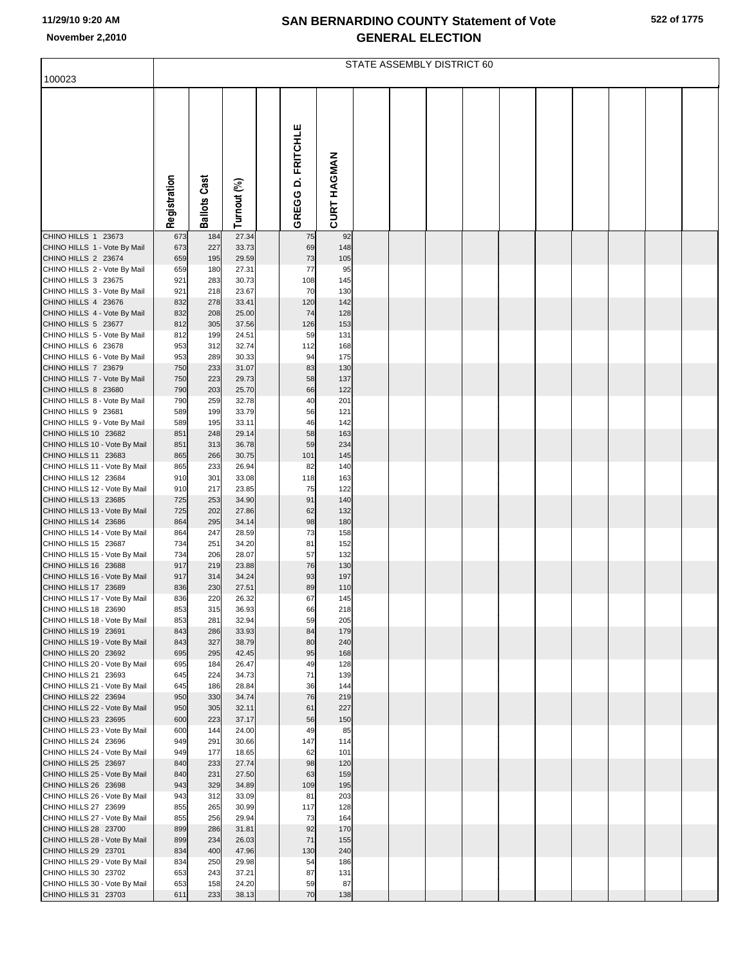## **SAN BERNARDINO COUNTY Statement of Vote November 2,2010 GENERAL ELECTION**

|  |  | 522 of 1775 |
|--|--|-------------|
|--|--|-------------|

|                                                       | STATE ASSEMBLY DISTRICT 60 |                     |                |  |                   |             |  |  |  |  |  |  |  |  |
|-------------------------------------------------------|----------------------------|---------------------|----------------|--|-------------------|-------------|--|--|--|--|--|--|--|--|
| 100023                                                |                            |                     |                |  |                   |             |  |  |  |  |  |  |  |  |
|                                                       | Registration               | <b>Ballots Cast</b> | Turnout (%)    |  | GREGG D. FRITCHLE | CURT HAGMAN |  |  |  |  |  |  |  |  |
| CHINO HILLS 1 23673                                   | 673                        | 184                 | 27.34          |  | 75                | 92          |  |  |  |  |  |  |  |  |
| CHINO HILLS 1 - Vote By Mail<br>CHINO HILLS 2 23674   | 673<br>659                 | 227<br>195          | 33.73<br>29.59 |  | 69<br>73          | 148<br>105  |  |  |  |  |  |  |  |  |
| CHINO HILLS 2 - Vote By Mail                          | 659                        | 180                 | 27.31          |  | 77                | 95          |  |  |  |  |  |  |  |  |
| CHINO HILLS 3 23675                                   | 921                        | 283                 | 30.73          |  | 108               | 145         |  |  |  |  |  |  |  |  |
| CHINO HILLS 3 - Vote By Mail<br>CHINO HILLS 4 23676   | 921<br>832                 | 218<br>278          | 23.67<br>33.41 |  | 70<br>120         | 130<br>142  |  |  |  |  |  |  |  |  |
| CHINO HILLS 4 - Vote By Mail                          | 832                        | 208                 | 25.00          |  | 74                | 128         |  |  |  |  |  |  |  |  |
| CHINO HILLS 5 23677                                   | 812                        | 305                 | 37.56          |  | 126               | 153         |  |  |  |  |  |  |  |  |
| CHINO HILLS 5 - Vote By Mail                          | 812                        | 199                 | 24.51          |  | 59                | 131         |  |  |  |  |  |  |  |  |
| CHINO HILLS 6 23678<br>CHINO HILLS 6 - Vote By Mail   | 953<br>953                 | 312<br>289          | 32.74<br>30.33 |  | 112<br>94         | 168<br>175  |  |  |  |  |  |  |  |  |
| CHINO HILLS 7 23679                                   | 750                        | 233                 | 31.07          |  | 83                | 130         |  |  |  |  |  |  |  |  |
| CHINO HILLS 7 - Vote By Mail                          | 750                        | 223                 | 29.73          |  | 58                | 137         |  |  |  |  |  |  |  |  |
| CHINO HILLS 8 23680                                   | 790                        | 203                 | 25.70          |  | 66                | 122         |  |  |  |  |  |  |  |  |
| CHINO HILLS 8 - Vote By Mail<br>CHINO HILLS 9 23681   | 790<br>589                 | 259<br>199          | 32.78<br>33.79 |  | 40<br>56          | 201<br>121  |  |  |  |  |  |  |  |  |
| CHINO HILLS 9 - Vote By Mail                          | 589                        | 195                 | 33.11          |  | 46                | 142         |  |  |  |  |  |  |  |  |
| CHINO HILLS 10 23682                                  | 851                        | 248                 | 29.14          |  | 58                | 163         |  |  |  |  |  |  |  |  |
| CHINO HILLS 10 - Vote By Mail                         | 851                        | 313                 | 36.78          |  | 59                | 234         |  |  |  |  |  |  |  |  |
| CHINO HILLS 11 23683                                  | 865<br>865                 | 266<br>233          | 30.75<br>26.94 |  | 101<br>82         | 145<br>140  |  |  |  |  |  |  |  |  |
| CHINO HILLS 11 - Vote By Mail<br>CHINO HILLS 12 23684 | 910                        | 301                 | 33.08          |  | 118               | 163         |  |  |  |  |  |  |  |  |
| CHINO HILLS 12 - Vote By Mail                         | 910                        | 217                 | 23.85          |  | 75                | 122         |  |  |  |  |  |  |  |  |
| CHINO HILLS 13 23685                                  | 725                        | 253                 | 34.90          |  | 91                | 140         |  |  |  |  |  |  |  |  |
| CHINO HILLS 13 - Vote By Mail<br>CHINO HILLS 14 23686 | 725<br>864                 | 202<br>295          | 27.86<br>34.14 |  | 62<br>98          | 132<br>180  |  |  |  |  |  |  |  |  |
| CHINO HILLS 14 - Vote By Mail                         | 864                        | 247                 | 28.59          |  | 73                | 158         |  |  |  |  |  |  |  |  |
| CHINO HILLS 15 23687                                  | 734                        | 251                 | 34.20          |  | 81                | 152         |  |  |  |  |  |  |  |  |
| CHINO HILLS 15 - Vote By Mail                         | 734                        | 206                 | 28.07          |  | 57                | 132         |  |  |  |  |  |  |  |  |
| CHINO HILLS 16 23688<br>CHINO HILLS 16 - Vote By Mail | 917<br>917                 | 219<br>314          | 23.88<br>34.24 |  | 76<br>93          | 130<br>197  |  |  |  |  |  |  |  |  |
| CHINO HILLS 17 23689                                  | 836                        | 230                 | 27.51          |  | 89                | 110         |  |  |  |  |  |  |  |  |
| CHINO HILLS 17 - Vote By Mail                         | 836                        | 220                 | 26.32          |  | 67                | 145         |  |  |  |  |  |  |  |  |
| CHINO HILLS 18 23690                                  | 853                        | 315                 | 36.93          |  | 66                | 218         |  |  |  |  |  |  |  |  |
| CHINO HILLS 18 - Vote By Mail<br>CHINO HILLS 19 23691 | 853<br>843                 | 281<br>286          | 32.94<br>33.93 |  | 59<br>84          | 205<br>179  |  |  |  |  |  |  |  |  |
| CHINO HILLS 19 - Vote By Mail                         | 843                        | 327                 | 38.79          |  | 80                | 240         |  |  |  |  |  |  |  |  |
| CHINO HILLS 20 23692                                  | 695                        | 295                 | 42.45          |  | 95                | 168         |  |  |  |  |  |  |  |  |
| CHINO HILLS 20 - Vote By Mail<br>CHINO HILLS 21 23693 | 695                        | 184<br>224          | 26.47<br>34.73 |  | 49<br>71          | 128         |  |  |  |  |  |  |  |  |
| CHINO HILLS 21 - Vote By Mail                         | 645<br>645                 | 186                 | 28.84          |  | 36                | 139<br>144  |  |  |  |  |  |  |  |  |
| CHINO HILLS 22 23694                                  | 950                        | 330                 | 34.74          |  | 76                | 219         |  |  |  |  |  |  |  |  |
| CHINO HILLS 22 - Vote By Mail                         | 950                        | 305                 | 32.11          |  | 61                | 227         |  |  |  |  |  |  |  |  |
| CHINO HILLS 23 23695<br>CHINO HILLS 23 - Vote By Mail | 600<br>600                 | 223<br>144          | 37.17<br>24.00 |  | 56<br>49          | 150<br>85   |  |  |  |  |  |  |  |  |
| CHINO HILLS 24 23696                                  | 949                        | 291                 | 30.66          |  | 147               | 114         |  |  |  |  |  |  |  |  |
| CHINO HILLS 24 - Vote By Mail                         | 949                        | 177                 | 18.65          |  | 62                | 101         |  |  |  |  |  |  |  |  |
| CHINO HILLS 25 23697                                  | 840                        | 233                 | 27.74          |  | 98                | 120         |  |  |  |  |  |  |  |  |
| CHINO HILLS 25 - Vote By Mail<br>CHINO HILLS 26 23698 | 840<br>943                 | 231<br>329          | 27.50<br>34.89 |  | 63<br>109         | 159<br>195  |  |  |  |  |  |  |  |  |
| CHINO HILLS 26 - Vote By Mail                         | 943                        | 312                 | 33.09          |  | 81                | 203         |  |  |  |  |  |  |  |  |
| CHINO HILLS 27 23699                                  | 855                        | 265                 | 30.99          |  | 117               | 128         |  |  |  |  |  |  |  |  |
| CHINO HILLS 27 - Vote By Mail                         | 855                        | 256                 | 29.94          |  | 73                | 164         |  |  |  |  |  |  |  |  |
| CHINO HILLS 28 23700<br>CHINO HILLS 28 - Vote By Mail | 899<br>899                 | 286<br>234          | 31.81<br>26.03 |  | 92<br>71          | 170<br>155  |  |  |  |  |  |  |  |  |
| CHINO HILLS 29 23701                                  | 834                        | 400                 | 47.96          |  | 130               | 240         |  |  |  |  |  |  |  |  |
| CHINO HILLS 29 - Vote By Mail                         | 834                        | 250                 | 29.98          |  | 54                | 186         |  |  |  |  |  |  |  |  |
| CHINO HILLS 30 23702                                  | 653                        | 243                 | 37.21          |  | 87                | 131         |  |  |  |  |  |  |  |  |
| CHINO HILLS 30 - Vote By Mail<br>CHINO HILLS 31 23703 | 653<br>611                 | 158<br>233          | 24.20<br>38.13 |  | 59<br>70          | 87<br>138   |  |  |  |  |  |  |  |  |
|                                                       |                            |                     |                |  |                   |             |  |  |  |  |  |  |  |  |